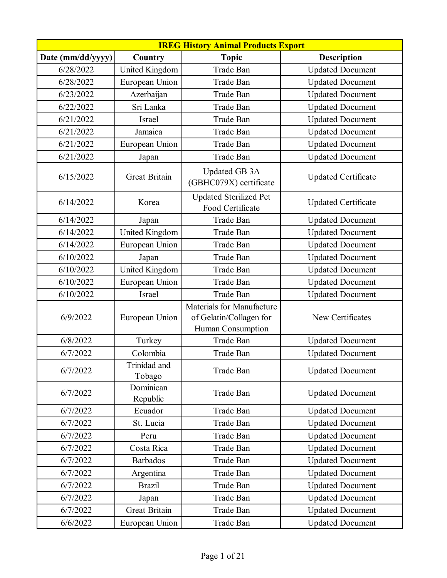| <b>IREG History Animal Products Export</b> |                        |                                                                           |                            |
|--------------------------------------------|------------------------|---------------------------------------------------------------------------|----------------------------|
| Date (mm/dd/yyyy)                          | Country                | <b>Topic</b>                                                              | <b>Description</b>         |
| 6/28/2022                                  | United Kingdom         | Trade Ban                                                                 | <b>Updated Document</b>    |
| 6/28/2022                                  | European Union         | Trade Ban                                                                 | <b>Updated Document</b>    |
| 6/23/2022                                  | Azerbaijan             | Trade Ban                                                                 | <b>Updated Document</b>    |
| 6/22/2022                                  | Sri Lanka              | Trade Ban                                                                 | <b>Updated Document</b>    |
| 6/21/2022                                  | <b>Israel</b>          | Trade Ban                                                                 | <b>Updated Document</b>    |
| 6/21/2022                                  | Jamaica                | Trade Ban                                                                 | <b>Updated Document</b>    |
| 6/21/2022                                  | European Union         | Trade Ban                                                                 | <b>Updated Document</b>    |
| 6/21/2022                                  | Japan                  | Trade Ban                                                                 | <b>Updated Document</b>    |
| 6/15/2022                                  | <b>Great Britain</b>   | Updated GB 3A<br>(GBHC079X) certificate                                   | <b>Updated Certificate</b> |
| 6/14/2022                                  | Korea                  | <b>Updated Sterilized Pet</b><br>Food Certificate                         | <b>Updated Certificate</b> |
| 6/14/2022                                  | Japan                  | Trade Ban                                                                 | <b>Updated Document</b>    |
| 6/14/2022                                  | United Kingdom         | Trade Ban                                                                 | <b>Updated Document</b>    |
| 6/14/2022                                  | European Union         | Trade Ban                                                                 | <b>Updated Document</b>    |
| 6/10/2022                                  | Japan                  | Trade Ban                                                                 | <b>Updated Document</b>    |
| 6/10/2022                                  | United Kingdom         | Trade Ban                                                                 | <b>Updated Document</b>    |
| 6/10/2022                                  | European Union         | Trade Ban                                                                 | <b>Updated Document</b>    |
| 6/10/2022                                  | Israel                 | Trade Ban                                                                 | <b>Updated Document</b>    |
| 6/9/2022                                   | European Union         | Materials for Manufacture<br>of Gelatin/Collagen for<br>Human Consumption | New Certificates           |
| 6/8/2022                                   | Turkey                 | Trade Ban                                                                 | <b>Updated Document</b>    |
| 6/7/2022                                   | Colombia               | Trade Ban                                                                 | <b>Updated Document</b>    |
| 6/7/2022                                   | Trinidad and<br>Tobago | Trade Ban                                                                 | <b>Updated Document</b>    |
| 6/7/2022                                   | Dominican<br>Republic  | Trade Ban                                                                 | <b>Updated Document</b>    |
| 6/7/2022                                   | Ecuador                | Trade Ban                                                                 | <b>Updated Document</b>    |
| 6/7/2022                                   | St. Lucia              | Trade Ban                                                                 | <b>Updated Document</b>    |
| 6/7/2022                                   | Peru                   | Trade Ban                                                                 | <b>Updated Document</b>    |
| 6/7/2022                                   | Costa Rica             | Trade Ban                                                                 | <b>Updated Document</b>    |
| 6/7/2022                                   | <b>Barbados</b>        | Trade Ban                                                                 | <b>Updated Document</b>    |
| 6/7/2022                                   | Argentina              | Trade Ban                                                                 | <b>Updated Document</b>    |
| 6/7/2022                                   | <b>Brazil</b>          | Trade Ban                                                                 | <b>Updated Document</b>    |
| 6/7/2022                                   | Japan                  | Trade Ban                                                                 | <b>Updated Document</b>    |
| 6/7/2022                                   | <b>Great Britain</b>   | Trade Ban                                                                 | <b>Updated Document</b>    |
| 6/6/2022                                   | European Union         | Trade Ban                                                                 | <b>Updated Document</b>    |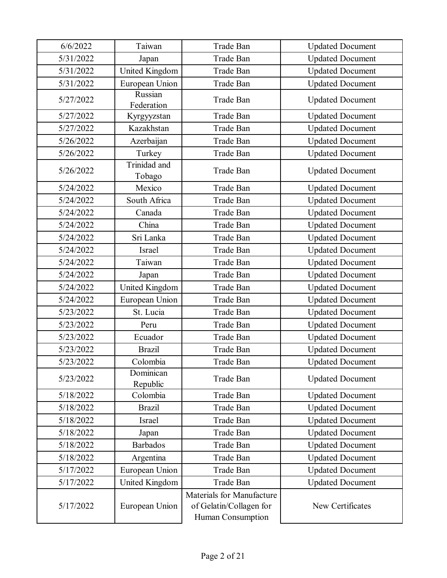| 6/6/2022  | Taiwan                 | Trade Ban                                                                 | <b>Updated Document</b> |
|-----------|------------------------|---------------------------------------------------------------------------|-------------------------|
| 5/31/2022 | Japan                  | Trade Ban                                                                 | <b>Updated Document</b> |
| 5/31/2022 | United Kingdom         | Trade Ban                                                                 | <b>Updated Document</b> |
| 5/31/2022 | European Union         | Trade Ban                                                                 | <b>Updated Document</b> |
| 5/27/2022 | Russian<br>Federation  | Trade Ban                                                                 | <b>Updated Document</b> |
| 5/27/2022 | Kyrgyyzstan            | Trade Ban                                                                 | <b>Updated Document</b> |
| 5/27/2022 | Kazakhstan             | Trade Ban                                                                 | <b>Updated Document</b> |
| 5/26/2022 | Azerbaijan             | <b>Trade Ban</b>                                                          | <b>Updated Document</b> |
| 5/26/2022 | Turkey                 | Trade Ban                                                                 | <b>Updated Document</b> |
| 5/26/2022 | Trinidad and<br>Tobago | Trade Ban                                                                 | <b>Updated Document</b> |
| 5/24/2022 | Mexico                 | Trade Ban                                                                 | <b>Updated Document</b> |
| 5/24/2022 | South Africa           | Trade Ban                                                                 | <b>Updated Document</b> |
| 5/24/2022 | Canada                 | <b>Trade Ban</b>                                                          | <b>Updated Document</b> |
| 5/24/2022 | China                  | Trade Ban                                                                 | <b>Updated Document</b> |
| 5/24/2022 | Sri Lanka              | Trade Ban                                                                 | <b>Updated Document</b> |
| 5/24/2022 | Israel                 | Trade Ban                                                                 | <b>Updated Document</b> |
| 5/24/2022 | Taiwan                 | Trade Ban                                                                 | <b>Updated Document</b> |
| 5/24/2022 | Japan                  | Trade Ban                                                                 | <b>Updated Document</b> |
| 5/24/2022 | United Kingdom         | Trade Ban                                                                 | <b>Updated Document</b> |
| 5/24/2022 | European Union         | Trade Ban                                                                 | <b>Updated Document</b> |
| 5/23/2022 | St. Lucia              | Trade Ban                                                                 | <b>Updated Document</b> |
| 5/23/2022 | Peru                   | Trade Ban                                                                 | <b>Updated Document</b> |
| 5/23/2022 | Ecuador                | Trade Ban                                                                 | <b>Updated Document</b> |
| 5/23/2022 | <b>Brazil</b>          | Trade Ban                                                                 | <b>Updated Document</b> |
| 5/23/2022 | Colombia               | Trade Ban                                                                 | <b>Updated Document</b> |
| 5/23/2022 | Dominican<br>Republic  | Trade Ban                                                                 | <b>Updated Document</b> |
| 5/18/2022 | Colombia               | Trade Ban                                                                 | <b>Updated Document</b> |
| 5/18/2022 | <b>Brazil</b>          | Trade Ban                                                                 | <b>Updated Document</b> |
| 5/18/2022 | <b>Israel</b>          | Trade Ban                                                                 | <b>Updated Document</b> |
| 5/18/2022 | Japan                  | Trade Ban                                                                 | <b>Updated Document</b> |
| 5/18/2022 | <b>Barbados</b>        | Trade Ban                                                                 | <b>Updated Document</b> |
| 5/18/2022 | Argentina              | Trade Ban                                                                 | <b>Updated Document</b> |
| 5/17/2022 | European Union         | Trade Ban                                                                 | <b>Updated Document</b> |
| 5/17/2022 | United Kingdom         | Trade Ban                                                                 | <b>Updated Document</b> |
| 5/17/2022 | European Union         | Materials for Manufacture<br>of Gelatin/Collagen for<br>Human Consumption | New Certificates        |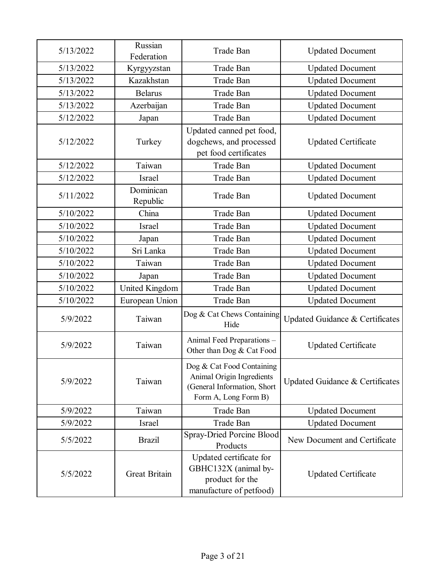| 5/13/2022 | Russian<br>Federation | Trade Ban                                                                                                     | <b>Updated Document</b>         |
|-----------|-----------------------|---------------------------------------------------------------------------------------------------------------|---------------------------------|
| 5/13/2022 | Kyrgyyzstan           | Trade Ban                                                                                                     | <b>Updated Document</b>         |
| 5/13/2022 | Kazakhstan            | Trade Ban                                                                                                     | <b>Updated Document</b>         |
| 5/13/2022 | <b>Belarus</b>        | Trade Ban                                                                                                     | <b>Updated Document</b>         |
| 5/13/2022 | Azerbaijan            | Trade Ban                                                                                                     | <b>Updated Document</b>         |
| 5/12/2022 | Japan                 | <b>Trade Ban</b>                                                                                              | <b>Updated Document</b>         |
| 5/12/2022 | Turkey                | Updated canned pet food,<br>dogchews, and processed<br>pet food certificates                                  | <b>Updated Certificate</b>      |
| 5/12/2022 | Taiwan                | Trade Ban                                                                                                     | <b>Updated Document</b>         |
| 5/12/2022 | Israel                | Trade Ban                                                                                                     | <b>Updated Document</b>         |
| 5/11/2022 | Dominican<br>Republic | Trade Ban                                                                                                     | <b>Updated Document</b>         |
| 5/10/2022 | China                 | Trade Ban                                                                                                     | <b>Updated Document</b>         |
| 5/10/2022 | Israel                | Trade Ban                                                                                                     | <b>Updated Document</b>         |
| 5/10/2022 | Japan                 | Trade Ban                                                                                                     | <b>Updated Document</b>         |
| 5/10/2022 | Sri Lanka             | Trade Ban                                                                                                     | <b>Updated Document</b>         |
| 5/10/2022 | Taiwan                | Trade Ban                                                                                                     | <b>Updated Document</b>         |
| 5/10/2022 | Japan                 | Trade Ban                                                                                                     | <b>Updated Document</b>         |
| 5/10/2022 | United Kingdom        | Trade Ban                                                                                                     | <b>Updated Document</b>         |
| 5/10/2022 | European Union        | Trade Ban                                                                                                     | <b>Updated Document</b>         |
| 5/9/2022  | Taiwan                | Dog & Cat Chews Containing<br>Hide                                                                            | Updated Guidance & Certificates |
| 5/9/2022  | Taiwan                | Animal Feed Preparations -<br>Other than Dog & Cat Food                                                       | <b>Updated Certificate</b>      |
| 5/9/2022  | Taiwan                | Dog & Cat Food Containing<br>Animal Origin Ingredients<br>(General Information, Short<br>Form A, Long Form B) | Updated Guidance & Certificates |
| 5/9/2022  | Taiwan                | Trade Ban                                                                                                     | <b>Updated Document</b>         |
| 5/9/2022  | Israel                | Trade Ban                                                                                                     | <b>Updated Document</b>         |
| 5/5/2022  | <b>Brazil</b>         | Spray-Dried Porcine Blood<br>Products                                                                         | New Document and Certificate    |
| 5/5/2022  | <b>Great Britain</b>  | Updated certificate for<br>GBHC132X (animal by-<br>product for the<br>manufacture of petfood)                 | <b>Updated Certificate</b>      |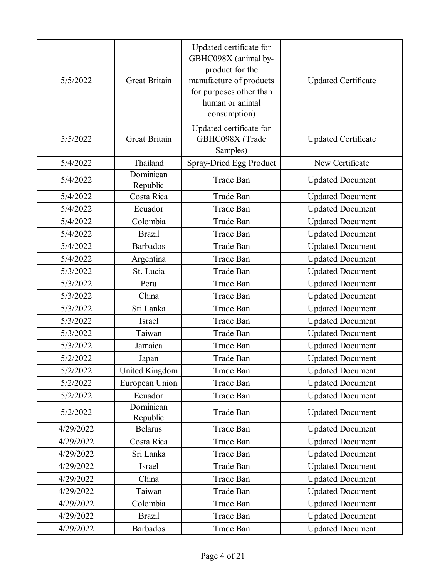| 5/5/2022  | <b>Great Britain</b>  | Updated certificate for<br>GBHC098X (animal by-<br>product for the<br>manufacture of products<br>for purposes other than<br>human or animal<br>consumption) | <b>Updated Certificate</b> |
|-----------|-----------------------|-------------------------------------------------------------------------------------------------------------------------------------------------------------|----------------------------|
| 5/5/2022  | <b>Great Britain</b>  | Updated certificate for<br>GBHC098X (Trade<br>Samples)                                                                                                      | <b>Updated Certificate</b> |
| 5/4/2022  | Thailand              | Spray-Dried Egg Product                                                                                                                                     | New Certificate            |
| 5/4/2022  | Dominican<br>Republic | Trade Ban                                                                                                                                                   | <b>Updated Document</b>    |
| 5/4/2022  | Costa Rica            | Trade Ban                                                                                                                                                   | <b>Updated Document</b>    |
| 5/4/2022  | Ecuador               | Trade Ban                                                                                                                                                   | <b>Updated Document</b>    |
| 5/4/2022  | Colombia              | Trade Ban                                                                                                                                                   | <b>Updated Document</b>    |
| 5/4/2022  | <b>Brazil</b>         | Trade Ban                                                                                                                                                   | <b>Updated Document</b>    |
| 5/4/2022  | <b>Barbados</b>       | Trade Ban                                                                                                                                                   | <b>Updated Document</b>    |
| 5/4/2022  | Argentina             | Trade Ban                                                                                                                                                   | <b>Updated Document</b>    |
| 5/3/2022  | St. Lucia             | Trade Ban                                                                                                                                                   | <b>Updated Document</b>    |
| 5/3/2022  | Peru                  | Trade Ban                                                                                                                                                   | <b>Updated Document</b>    |
| 5/3/2022  | China                 | Trade Ban                                                                                                                                                   | <b>Updated Document</b>    |
| 5/3/2022  | Sri Lanka             | Trade Ban                                                                                                                                                   | <b>Updated Document</b>    |
| 5/3/2022  | <b>Israel</b>         | Trade Ban                                                                                                                                                   | <b>Updated Document</b>    |
| 5/3/2022  | Taiwan                | Trade Ban                                                                                                                                                   | <b>Updated Document</b>    |
| 5/3/2022  | Jamaica               | Trade Ban                                                                                                                                                   | <b>Updated Document</b>    |
| 5/2/2022  | Japan                 | Trade Ban                                                                                                                                                   | <b>Updated Document</b>    |
| 5/2/2022  | United Kingdom        | Trade Ban                                                                                                                                                   | <b>Updated Document</b>    |
| 5/2/2022  | European Union        | Trade Ban                                                                                                                                                   | <b>Updated Document</b>    |
| 5/2/2022  | Ecuador               | Trade Ban                                                                                                                                                   | <b>Updated Document</b>    |
| 5/2/2022  | Dominican<br>Republic | Trade Ban                                                                                                                                                   | <b>Updated Document</b>    |
| 4/29/2022 | <b>Belarus</b>        | Trade Ban                                                                                                                                                   | <b>Updated Document</b>    |
| 4/29/2022 | Costa Rica            | Trade Ban                                                                                                                                                   | <b>Updated Document</b>    |
| 4/29/2022 | Sri Lanka             | Trade Ban                                                                                                                                                   | <b>Updated Document</b>    |
| 4/29/2022 | Israel                | Trade Ban                                                                                                                                                   | <b>Updated Document</b>    |
| 4/29/2022 | China                 | Trade Ban                                                                                                                                                   | <b>Updated Document</b>    |
| 4/29/2022 | Taiwan                | Trade Ban                                                                                                                                                   | <b>Updated Document</b>    |
| 4/29/2022 | Colombia              | Trade Ban                                                                                                                                                   | <b>Updated Document</b>    |
| 4/29/2022 | <b>Brazil</b>         | Trade Ban                                                                                                                                                   | <b>Updated Document</b>    |
| 4/29/2022 | <b>Barbados</b>       | Trade Ban                                                                                                                                                   | <b>Updated Document</b>    |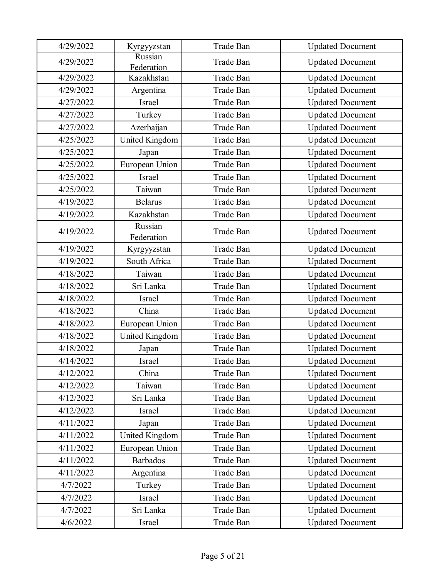| 4/29/2022 | Kyrgyyzstan           | Trade Ban | <b>Updated Document</b> |
|-----------|-----------------------|-----------|-------------------------|
| 4/29/2022 | Russian<br>Federation | Trade Ban | <b>Updated Document</b> |
| 4/29/2022 | Kazakhstan            | Trade Ban | <b>Updated Document</b> |
| 4/29/2022 | Argentina             | Trade Ban | <b>Updated Document</b> |
| 4/27/2022 | Israel                | Trade Ban | <b>Updated Document</b> |
| 4/27/2022 | Turkey                | Trade Ban | <b>Updated Document</b> |
| 4/27/2022 | Azerbaijan            | Trade Ban | <b>Updated Document</b> |
| 4/25/2022 | United Kingdom        | Trade Ban | <b>Updated Document</b> |
| 4/25/2022 | Japan                 | Trade Ban | <b>Updated Document</b> |
| 4/25/2022 | European Union        | Trade Ban | <b>Updated Document</b> |
| 4/25/2022 | Israel                | Trade Ban | <b>Updated Document</b> |
| 4/25/2022 | Taiwan                | Trade Ban | <b>Updated Document</b> |
| 4/19/2022 | <b>Belarus</b>        | Trade Ban | <b>Updated Document</b> |
| 4/19/2022 | Kazakhstan            | Trade Ban | <b>Updated Document</b> |
| 4/19/2022 | Russian<br>Federation | Trade Ban | <b>Updated Document</b> |
| 4/19/2022 | Kyrgyyzstan           | Trade Ban | <b>Updated Document</b> |
| 4/19/2022 | South Africa          | Trade Ban | <b>Updated Document</b> |
| 4/18/2022 | Taiwan                | Trade Ban | <b>Updated Document</b> |
| 4/18/2022 | Sri Lanka             | Trade Ban | <b>Updated Document</b> |
| 4/18/2022 | Israel                | Trade Ban | <b>Updated Document</b> |
| 4/18/2022 | China                 | Trade Ban | <b>Updated Document</b> |
| 4/18/2022 | European Union        | Trade Ban | <b>Updated Document</b> |
| 4/18/2022 | United Kingdom        | Trade Ban | <b>Updated Document</b> |
| 4/18/2022 | Japan                 | Trade Ban | <b>Updated Document</b> |
| 4/14/2022 | Israel                | Trade Ban | <b>Updated Document</b> |
| 4/12/2022 | China                 | Trade Ban | <b>Updated Document</b> |
| 4/12/2022 | Taiwan                | Trade Ban | <b>Updated Document</b> |
| 4/12/2022 | Sri Lanka             | Trade Ban | <b>Updated Document</b> |
| 4/12/2022 | Israel                | Trade Ban | <b>Updated Document</b> |
| 4/11/2022 | Japan                 | Trade Ban | <b>Updated Document</b> |
| 4/11/2022 | United Kingdom        | Trade Ban | <b>Updated Document</b> |
| 4/11/2022 | European Union        | Trade Ban | <b>Updated Document</b> |
| 4/11/2022 | <b>Barbados</b>       | Trade Ban | <b>Updated Document</b> |
| 4/11/2022 | Argentina             | Trade Ban | <b>Updated Document</b> |
| 4/7/2022  | Turkey                | Trade Ban | <b>Updated Document</b> |
| 4/7/2022  | Israel                | Trade Ban | <b>Updated Document</b> |
| 4/7/2022  | Sri Lanka             | Trade Ban | <b>Updated Document</b> |
| 4/6/2022  | Israel                | Trade Ban | <b>Updated Document</b> |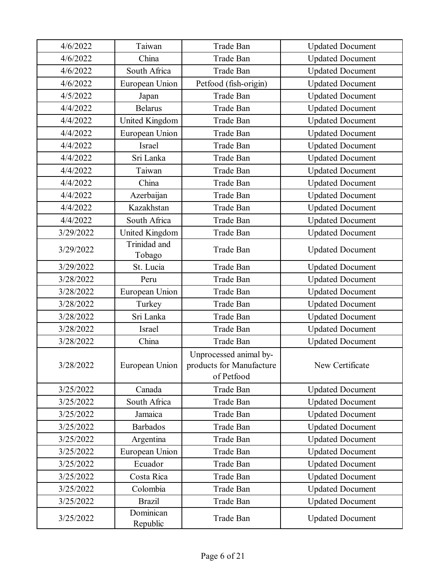| 4/6/2022  | Taiwan                 | Trade Ban                                                        | <b>Updated Document</b> |
|-----------|------------------------|------------------------------------------------------------------|-------------------------|
| 4/6/2022  | China                  | Trade Ban                                                        | <b>Updated Document</b> |
| 4/6/2022  | South Africa           | Trade Ban                                                        | <b>Updated Document</b> |
| 4/6/2022  | European Union         | Petfood (fish-origin)                                            | <b>Updated Document</b> |
| 4/5/2022  | Japan                  | Trade Ban                                                        | <b>Updated Document</b> |
| 4/4/2022  | <b>Belarus</b>         | Trade Ban                                                        | <b>Updated Document</b> |
| 4/4/2022  | United Kingdom         | Trade Ban                                                        | <b>Updated Document</b> |
| 4/4/2022  | European Union         | Trade Ban                                                        | <b>Updated Document</b> |
| 4/4/2022  | <b>Israel</b>          | Trade Ban                                                        | <b>Updated Document</b> |
| 4/4/2022  | Sri Lanka              | Trade Ban                                                        | <b>Updated Document</b> |
| 4/4/2022  | Taiwan                 | Trade Ban                                                        | <b>Updated Document</b> |
| 4/4/2022  | China                  | Trade Ban                                                        | <b>Updated Document</b> |
| 4/4/2022  | Azerbaijan             | Trade Ban                                                        | <b>Updated Document</b> |
| 4/4/2022  | Kazakhstan             | Trade Ban                                                        | <b>Updated Document</b> |
| 4/4/2022  | South Africa           | Trade Ban                                                        | <b>Updated Document</b> |
| 3/29/2022 | United Kingdom         | Trade Ban                                                        | <b>Updated Document</b> |
| 3/29/2022 | Trinidad and<br>Tobago | Trade Ban                                                        | <b>Updated Document</b> |
| 3/29/2022 | St. Lucia              | Trade Ban                                                        | <b>Updated Document</b> |
| 3/28/2022 | Peru                   | Trade Ban                                                        | <b>Updated Document</b> |
| 3/28/2022 | European Union         | Trade Ban                                                        | <b>Updated Document</b> |
| 3/28/2022 | Turkey                 | Trade Ban                                                        | <b>Updated Document</b> |
| 3/28/2022 | Sri Lanka              | Trade Ban                                                        | <b>Updated Document</b> |
| 3/28/2022 | Israel                 | Trade Ban                                                        | <b>Updated Document</b> |
| 3/28/2022 | China                  | Trade Ban                                                        | <b>Updated Document</b> |
| 3/28/2022 | European Union         | Unprocessed animal by-<br>products for Manufacture<br>of Petfood | New Certificate         |
| 3/25/2022 | Canada                 | Trade Ban                                                        | <b>Updated Document</b> |
| 3/25/2022 | South Africa           | Trade Ban                                                        | <b>Updated Document</b> |
| 3/25/2022 | Jamaica                | Trade Ban                                                        | <b>Updated Document</b> |
| 3/25/2022 | <b>Barbados</b>        | Trade Ban                                                        | <b>Updated Document</b> |
| 3/25/2022 | Argentina              | Trade Ban                                                        | <b>Updated Document</b> |
| 3/25/2022 | European Union         | Trade Ban                                                        | <b>Updated Document</b> |
| 3/25/2022 | Ecuador                | Trade Ban                                                        | <b>Updated Document</b> |
| 3/25/2022 | Costa Rica             | Trade Ban                                                        | <b>Updated Document</b> |
| 3/25/2022 | Colombia               | Trade Ban                                                        | <b>Updated Document</b> |
| 3/25/2022 | <b>Brazil</b>          | Trade Ban                                                        | <b>Updated Document</b> |
| 3/25/2022 | Dominican<br>Republic  | Trade Ban                                                        | <b>Updated Document</b> |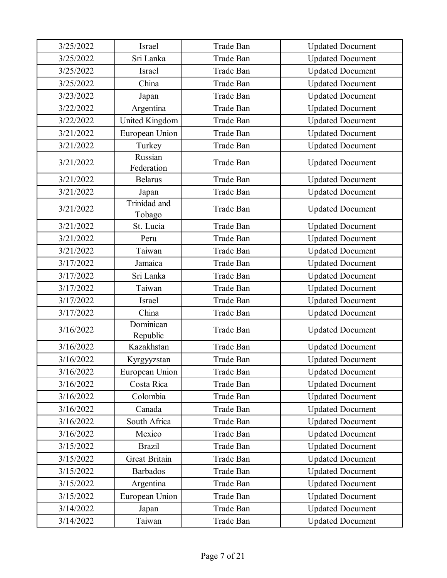| 3/25/2022 | Israel                 | Trade Ban        |                         |
|-----------|------------------------|------------------|-------------------------|
|           |                        |                  | <b>Updated Document</b> |
| 3/25/2022 | Sri Lanka              | Trade Ban        | <b>Updated Document</b> |
| 3/25/2022 | Israel                 | Trade Ban        | <b>Updated Document</b> |
| 3/25/2022 | China                  | Trade Ban        | <b>Updated Document</b> |
| 3/23/2022 | Japan                  | Trade Ban        | <b>Updated Document</b> |
| 3/22/2022 | Argentina              | Trade Ban        | <b>Updated Document</b> |
| 3/22/2022 | United Kingdom         | Trade Ban        | <b>Updated Document</b> |
| 3/21/2022 | European Union         | Trade Ban        | <b>Updated Document</b> |
| 3/21/2022 | Turkey                 | Trade Ban        | <b>Updated Document</b> |
| 3/21/2022 | Russian<br>Federation  | Trade Ban        | <b>Updated Document</b> |
| 3/21/2022 | <b>Belarus</b>         | Trade Ban        | <b>Updated Document</b> |
| 3/21/2022 | Japan                  | Trade Ban        | <b>Updated Document</b> |
| 3/21/2022 | Trinidad and<br>Tobago | Trade Ban        | <b>Updated Document</b> |
| 3/21/2022 | St. Lucia              | Trade Ban        | <b>Updated Document</b> |
| 3/21/2022 | Peru                   | Trade Ban        | <b>Updated Document</b> |
| 3/21/2022 | Taiwan                 | Trade Ban        | <b>Updated Document</b> |
| 3/17/2022 | Jamaica                | Trade Ban        | <b>Updated Document</b> |
| 3/17/2022 | Sri Lanka              | Trade Ban        | <b>Updated Document</b> |
| 3/17/2022 | Taiwan                 | Trade Ban        | <b>Updated Document</b> |
| 3/17/2022 | Israel                 | Trade Ban        | <b>Updated Document</b> |
| 3/17/2022 | China                  | Trade Ban        | <b>Updated Document</b> |
| 3/16/2022 | Dominican<br>Republic  | Trade Ban        | <b>Updated Document</b> |
| 3/16/2022 | Kazakhstan             | <b>Trade Ban</b> | <b>Updated Document</b> |
| 3/16/2022 | Kyrgyyzstan            | Trade Ban        | <b>Updated Document</b> |
| 3/16/2022 | European Union         | Trade Ban        | <b>Updated Document</b> |
| 3/16/2022 | Costa Rica             | Trade Ban        | <b>Updated Document</b> |
| 3/16/2022 | Colombia               | Trade Ban        | <b>Updated Document</b> |
| 3/16/2022 | Canada                 | Trade Ban        | <b>Updated Document</b> |
| 3/16/2022 | South Africa           | Trade Ban        | <b>Updated Document</b> |
| 3/16/2022 | Mexico                 | Trade Ban        | <b>Updated Document</b> |
| 3/15/2022 | <b>Brazil</b>          | Trade Ban        | <b>Updated Document</b> |
| 3/15/2022 | <b>Great Britain</b>   | Trade Ban        | <b>Updated Document</b> |
| 3/15/2022 | <b>Barbados</b>        | Trade Ban        | <b>Updated Document</b> |
| 3/15/2022 | Argentina              | Trade Ban        | <b>Updated Document</b> |
| 3/15/2022 | European Union         | Trade Ban        | <b>Updated Document</b> |
| 3/14/2022 | Japan                  | Trade Ban        | <b>Updated Document</b> |
| 3/14/2022 | Taiwan                 | Trade Ban        | <b>Updated Document</b> |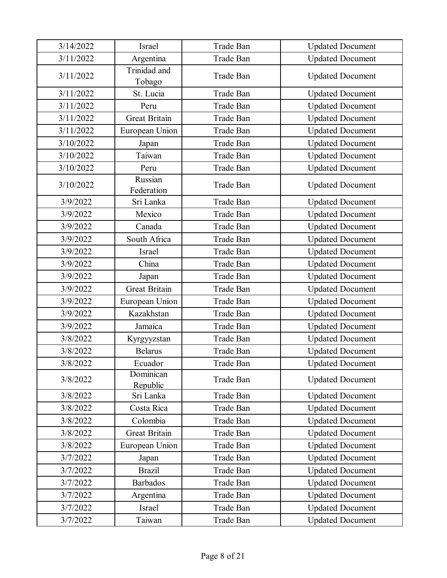| 3/14/2022 | Israel                 | Trade Ban | <b>Updated Document</b> |
|-----------|------------------------|-----------|-------------------------|
| 3/11/2022 | Argentina              | Trade Ban | <b>Updated Document</b> |
| 3/11/2022 | Trinidad and<br>Tobago | Trade Ban | <b>Updated Document</b> |
| 3/11/2022 | St. Lucia              | Trade Ban | <b>Updated Document</b> |
| 3/11/2022 | Peru                   | Trade Ban | <b>Updated Document</b> |
| 3/11/2022 | <b>Great Britain</b>   | Trade Ban | <b>Updated Document</b> |
| 3/11/2022 | European Union         | Trade Ban | <b>Updated Document</b> |
| 3/10/2022 | Japan                  | Trade Ban | <b>Updated Document</b> |
| 3/10/2022 | Taiwan                 | Trade Ban | <b>Updated Document</b> |
| 3/10/2022 | Peru                   | Trade Ban | <b>Updated Document</b> |
| 3/10/2022 | Russian<br>Federation  | Trade Ban | <b>Updated Document</b> |
| 3/9/2022  | Sri Lanka              | Trade Ban | <b>Updated Document</b> |
| 3/9/2022  | Mexico                 | Trade Ban | <b>Updated Document</b> |
| 3/9/2022  | Canada                 | Trade Ban | <b>Updated Document</b> |
| 3/9/2022  | South Africa           | Trade Ban | <b>Updated Document</b> |
| 3/9/2022  | Israel                 | Trade Ban | <b>Updated Document</b> |
| 3/9/2022  | China                  | Trade Ban | <b>Updated Document</b> |
| 3/9/2022  | Japan                  | Trade Ban | <b>Updated Document</b> |
| 3/9/2022  | <b>Great Britain</b>   | Trade Ban | <b>Updated Document</b> |
| 3/9/2022  | European Union         | Trade Ban | <b>Updated Document</b> |
| 3/9/2022  | Kazakhstan             | Trade Ban | <b>Updated Document</b> |
| 3/9/2022  | Jamaica                | Trade Ban | <b>Updated Document</b> |
| 3/8/2022  | Kyrgyyzstan            | Trade Ban | <b>Updated Document</b> |
| 3/8/2022  | <b>Belarus</b>         | Trade Ban | <b>Updated Document</b> |
| 3/8/2022  | Ecuador                | Trade Ban | <b>Updated Document</b> |
| 3/8/2022  | Dominican<br>Republic  | Trade Ban | <b>Updated Document</b> |
| 3/8/2022  | Sri Lanka              | Trade Ban | <b>Updated Document</b> |
| 3/8/2022  | Costa Rica             | Trade Ban | <b>Updated Document</b> |
| 3/8/2022  | Colombia               | Trade Ban | <b>Updated Document</b> |
| 3/8/2022  | <b>Great Britain</b>   | Trade Ban | <b>Updated Document</b> |
| 3/8/2022  | European Union         | Trade Ban | <b>Updated Document</b> |
| 3/7/2022  | Japan                  | Trade Ban | <b>Updated Document</b> |
| 3/7/2022  | <b>Brazil</b>          | Trade Ban | <b>Updated Document</b> |
| 3/7/2022  | <b>Barbados</b>        | Trade Ban | <b>Updated Document</b> |
| 3/7/2022  | Argentina              | Trade Ban | <b>Updated Document</b> |
| 3/7/2022  | Israel                 | Trade Ban | <b>Updated Document</b> |
| 3/7/2022  | Taiwan                 | Trade Ban | <b>Updated Document</b> |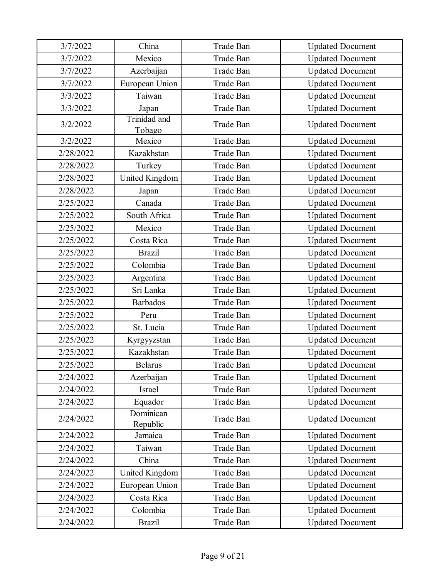| 3/7/2022  | China                  | Trade Ban        | <b>Updated Document</b> |
|-----------|------------------------|------------------|-------------------------|
| 3/7/2022  | Mexico                 | Trade Ban        | <b>Updated Document</b> |
| 3/7/2022  | Azerbaijan             | Trade Ban        | <b>Updated Document</b> |
| 3/7/2022  | European Union         | Trade Ban        | <b>Updated Document</b> |
| 3/3/2022  | Taiwan                 | Trade Ban        | <b>Updated Document</b> |
| 3/3/2022  | Japan                  | Trade Ban        | <b>Updated Document</b> |
| 3/2/2022  | Trinidad and<br>Tobago | Trade Ban        | <b>Updated Document</b> |
| 3/2/2022  | Mexico                 | Trade Ban        | <b>Updated Document</b> |
| 2/28/2022 | Kazakhstan             | Trade Ban        | <b>Updated Document</b> |
| 2/28/2022 | Turkey                 | Trade Ban        | <b>Updated Document</b> |
| 2/28/2022 | United Kingdom         | Trade Ban        | <b>Updated Document</b> |
| 2/28/2022 | Japan                  | Trade Ban        | <b>Updated Document</b> |
| 2/25/2022 | Canada                 | Trade Ban        | <b>Updated Document</b> |
| 2/25/2022 | South Africa           | Trade Ban        | <b>Updated Document</b> |
| 2/25/2022 | Mexico                 | Trade Ban        | <b>Updated Document</b> |
| 2/25/2022 | Costa Rica             | <b>Trade Ban</b> | <b>Updated Document</b> |
| 2/25/2022 | <b>Brazil</b>          | Trade Ban        | <b>Updated Document</b> |
| 2/25/2022 | Colombia               | Trade Ban        | <b>Updated Document</b> |
| 2/25/2022 | Argentina              | Trade Ban        | <b>Updated Document</b> |
| 2/25/2022 | Sri Lanka              | Trade Ban        | <b>Updated Document</b> |
| 2/25/2022 | <b>Barbados</b>        | Trade Ban        | <b>Updated Document</b> |
| 2/25/2022 | Peru                   | Trade Ban        | <b>Updated Document</b> |
| 2/25/2022 | St. Lucia              | Trade Ban        | <b>Updated Document</b> |
| 2/25/2022 | Kyrgyyzstan            | Trade Ban        | <b>Updated Document</b> |
| 2/25/2022 | Kazakhstan             | Trade Ban        | <b>Updated Document</b> |
| 2/25/2022 | Belarus                | Trade Ban        | <b>Updated Document</b> |
| 2/24/2022 | Azerbaijan             | Trade Ban        | <b>Updated Document</b> |
| 2/24/2022 | Israel                 | Trade Ban        | <b>Updated Document</b> |
| 2/24/2022 | Equador                | Trade Ban        | <b>Updated Document</b> |
| 2/24/2022 | Dominican<br>Republic  | Trade Ban        | <b>Updated Document</b> |
| 2/24/2022 | Jamaica                | Trade Ban        | <b>Updated Document</b> |
| 2/24/2022 | Taiwan                 | Trade Ban        | <b>Updated Document</b> |
| 2/24/2022 | China                  | Trade Ban        | <b>Updated Document</b> |
| 2/24/2022 | United Kingdom         | Trade Ban        | <b>Updated Document</b> |
| 2/24/2022 | European Union         | Trade Ban        | <b>Updated Document</b> |
| 2/24/2022 | Costa Rica             | Trade Ban        | <b>Updated Document</b> |
| 2/24/2022 | Colombia               | Trade Ban        | <b>Updated Document</b> |
| 2/24/2022 | <b>Brazil</b>          | Trade Ban        | <b>Updated Document</b> |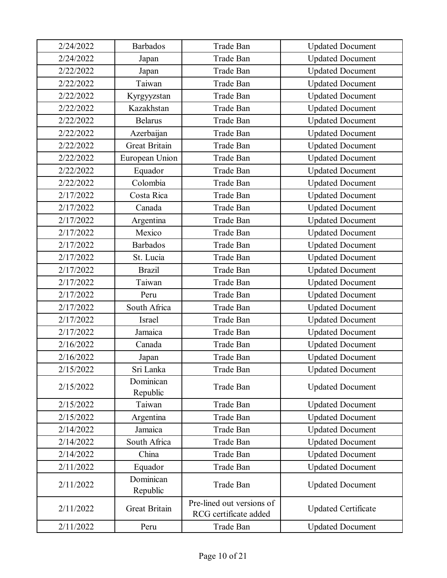| 2/24/2022 | <b>Barbados</b>       | Trade Ban                                          | <b>Updated Document</b>    |
|-----------|-----------------------|----------------------------------------------------|----------------------------|
| 2/24/2022 | Japan                 | Trade Ban                                          | <b>Updated Document</b>    |
| 2/22/2022 | Japan                 | Trade Ban                                          | <b>Updated Document</b>    |
| 2/22/2022 | Taiwan                | Trade Ban                                          | <b>Updated Document</b>    |
| 2/22/2022 | Kyrgyyzstan           | Trade Ban                                          | <b>Updated Document</b>    |
| 2/22/2022 | Kazakhstan            | Trade Ban                                          | <b>Updated Document</b>    |
| 2/22/2022 | <b>Belarus</b>        | Trade Ban                                          | <b>Updated Document</b>    |
| 2/22/2022 | Azerbaijan            | <b>Trade Ban</b>                                   | <b>Updated Document</b>    |
| 2/22/2022 | <b>Great Britain</b>  | Trade Ban                                          | <b>Updated Document</b>    |
| 2/22/2022 | European Union        | Trade Ban                                          | <b>Updated Document</b>    |
| 2/22/2022 | Equador               | Trade Ban                                          | <b>Updated Document</b>    |
| 2/22/2022 | Colombia              | Trade Ban                                          | <b>Updated Document</b>    |
| 2/17/2022 | Costa Rica            | Trade Ban                                          | <b>Updated Document</b>    |
| 2/17/2022 | Canada                | <b>Trade Ban</b>                                   | <b>Updated Document</b>    |
| 2/17/2022 | Argentina             | Trade Ban                                          | <b>Updated Document</b>    |
| 2/17/2022 | Mexico                | Trade Ban                                          | <b>Updated Document</b>    |
| 2/17/2022 | <b>Barbados</b>       | <b>Trade Ban</b>                                   | <b>Updated Document</b>    |
| 2/17/2022 | St. Lucia             | Trade Ban                                          | <b>Updated Document</b>    |
| 2/17/2022 | <b>Brazil</b>         | Trade Ban                                          | <b>Updated Document</b>    |
| 2/17/2022 | Taiwan                | Trade Ban                                          | <b>Updated Document</b>    |
| 2/17/2022 | Peru                  | Trade Ban                                          | <b>Updated Document</b>    |
| 2/17/2022 | South Africa          | Trade Ban                                          | <b>Updated Document</b>    |
| 2/17/2022 | Israel                | Trade Ban                                          | <b>Updated Document</b>    |
| 2/17/2022 | Jamaica               | Trade Ban                                          | <b>Updated Document</b>    |
| 2/16/2022 | Canada                | Trade Ban                                          | <b>Updated Document</b>    |
| 2/16/2022 | Japan                 | Trade Ban                                          | <b>Updated Document</b>    |
| 2/15/2022 | Sri Lanka             | Trade Ban                                          | <b>Updated Document</b>    |
| 2/15/2022 | Dominican<br>Republic | Trade Ban                                          | <b>Updated Document</b>    |
| 2/15/2022 | Taiwan                | Trade Ban                                          | <b>Updated Document</b>    |
| 2/15/2022 | Argentina             | Trade Ban                                          | <b>Updated Document</b>    |
| 2/14/2022 | Jamaica               | Trade Ban                                          | <b>Updated Document</b>    |
| 2/14/2022 | South Africa          | Trade Ban                                          | <b>Updated Document</b>    |
| 2/14/2022 | China                 | Trade Ban                                          | <b>Updated Document</b>    |
| 2/11/2022 | Equador               | Trade Ban                                          | <b>Updated Document</b>    |
| 2/11/2022 | Dominican<br>Republic | Trade Ban                                          | <b>Updated Document</b>    |
| 2/11/2022 | <b>Great Britain</b>  | Pre-lined out versions of<br>RCG certificate added | <b>Updated Certificate</b> |
| 2/11/2022 | Peru                  | Trade Ban                                          | <b>Updated Document</b>    |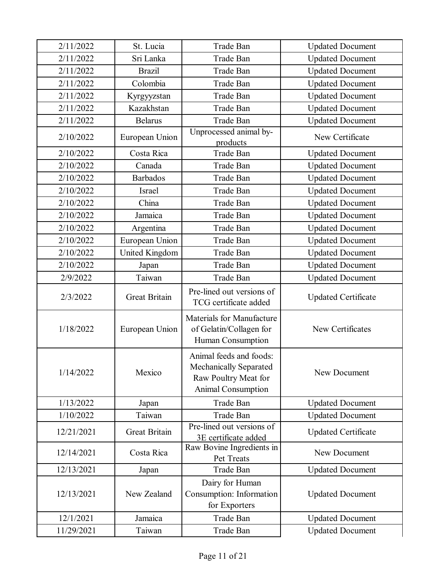| 2/11/2022  | St. Lucia            | Trade Ban                                                                                       | <b>Updated Document</b>    |
|------------|----------------------|-------------------------------------------------------------------------------------------------|----------------------------|
| 2/11/2022  | Sri Lanka            | Trade Ban                                                                                       | <b>Updated Document</b>    |
| 2/11/2022  | <b>Brazil</b>        | Trade Ban                                                                                       | <b>Updated Document</b>    |
| 2/11/2022  | Colombia             | Trade Ban                                                                                       | <b>Updated Document</b>    |
| 2/11/2022  | Kyrgyyzstan          | Trade Ban                                                                                       | <b>Updated Document</b>    |
| 2/11/2022  | Kazakhstan           | Trade Ban                                                                                       | <b>Updated Document</b>    |
| 2/11/2022  | <b>Belarus</b>       | <b>Trade Ban</b>                                                                                | <b>Updated Document</b>    |
| 2/10/2022  | European Union       | Unprocessed animal by-<br>products                                                              | New Certificate            |
| 2/10/2022  | Costa Rica           | Trade Ban                                                                                       | <b>Updated Document</b>    |
| 2/10/2022  | Canada               | Trade Ban                                                                                       | <b>Updated Document</b>    |
| 2/10/2022  | <b>Barbados</b>      | Trade Ban                                                                                       | <b>Updated Document</b>    |
| 2/10/2022  | Israel               | Trade Ban                                                                                       | <b>Updated Document</b>    |
| 2/10/2022  | China                | Trade Ban                                                                                       | <b>Updated Document</b>    |
| 2/10/2022  | Jamaica              | Trade Ban                                                                                       | <b>Updated Document</b>    |
| 2/10/2022  | Argentina            | Trade Ban                                                                                       | <b>Updated Document</b>    |
| 2/10/2022  | European Union       | Trade Ban                                                                                       | <b>Updated Document</b>    |
| 2/10/2022  | United Kingdom       | Trade Ban                                                                                       | <b>Updated Document</b>    |
| 2/10/2022  | Japan                | Trade Ban                                                                                       | <b>Updated Document</b>    |
| 2/9/2022   | Taiwan               | Trade Ban                                                                                       | <b>Updated Document</b>    |
| 2/3/2022   | <b>Great Britain</b> | Pre-lined out versions of<br>TCG certificate added                                              | <b>Updated Certificate</b> |
| 1/18/2022  | European Union       | Materials for Manufacture<br>of Gelatin/Collagen for<br>Human Consumption                       | New Certificates           |
| 1/14/2022  | Mexico               | Animal feeds and foods:<br>Mechanically Separated<br>Raw Poultry Meat for<br>Animal Consumption | New Document               |
| 1/13/2022  | Japan                | Trade Ban                                                                                       | <b>Updated Document</b>    |
| 1/10/2022  | Taiwan               | Trade Ban                                                                                       | <b>Updated Document</b>    |
| 12/21/2021 | <b>Great Britain</b> | Pre-lined out versions of<br>3E certificate added                                               | <b>Updated Certificate</b> |
| 12/14/2021 | Costa Rica           | Raw Bovine Ingredients in<br>Pet Treats                                                         | New Document               |
| 12/13/2021 | Japan                | Trade Ban                                                                                       | <b>Updated Document</b>    |
| 12/13/2021 | New Zealand          | Dairy for Human<br>Consumption: Information<br>for Exporters                                    | <b>Updated Document</b>    |
| 12/1/2021  | Jamaica              | Trade Ban                                                                                       | <b>Updated Document</b>    |
| 11/29/2021 | Taiwan               | Trade Ban                                                                                       | <b>Updated Document</b>    |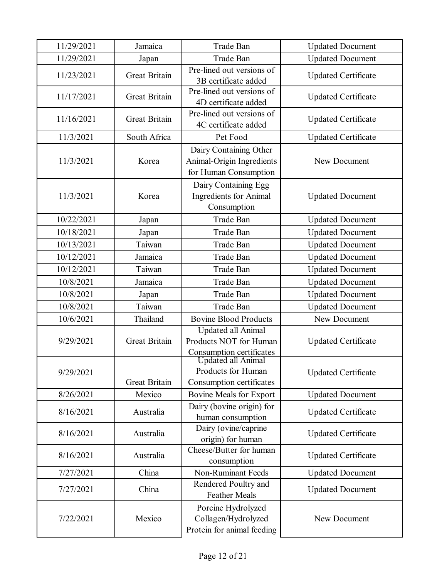| 11/29/2021 | Jamaica              | Trade Ban                                                                                      | <b>Updated Document</b>    |
|------------|----------------------|------------------------------------------------------------------------------------------------|----------------------------|
| 11/29/2021 | Japan                | Trade Ban                                                                                      | <b>Updated Document</b>    |
| 11/23/2021 | <b>Great Britain</b> | Pre-lined out versions of<br>3B certificate added                                              | <b>Updated Certificate</b> |
| 11/17/2021 | <b>Great Britain</b> | Pre-lined out versions of<br>4D certificate added                                              | <b>Updated Certificate</b> |
| 11/16/2021 | <b>Great Britain</b> | Pre-lined out versions of<br>4C certificate added                                              | <b>Updated Certificate</b> |
| 11/3/2021  | South Africa         | Pet Food                                                                                       | <b>Updated Certificate</b> |
| 11/3/2021  | Korea                | Dairy Containing Other<br>Animal-Origin Ingredients<br>for Human Consumption                   | New Document               |
| 11/3/2021  | Korea                | Dairy Containing Egg<br>Ingredients for Animal<br>Consumption                                  | <b>Updated Document</b>    |
| 10/22/2021 | Japan                | <b>Trade Ban</b>                                                                               | <b>Updated Document</b>    |
| 10/18/2021 | Japan                | Trade Ban                                                                                      | <b>Updated Document</b>    |
| 10/13/2021 | Taiwan               | Trade Ban                                                                                      | <b>Updated Document</b>    |
| 10/12/2021 | Jamaica              | Trade Ban                                                                                      | <b>Updated Document</b>    |
| 10/12/2021 | Taiwan               | Trade Ban                                                                                      | <b>Updated Document</b>    |
| 10/8/2021  | Jamaica              | Trade Ban                                                                                      | <b>Updated Document</b>    |
| 10/8/2021  | Japan                | Trade Ban                                                                                      | <b>Updated Document</b>    |
| 10/8/2021  | Taiwan               | Trade Ban                                                                                      | <b>Updated Document</b>    |
| 10/6/2021  | Thailand             | <b>Bovine Blood Products</b>                                                                   | New Document               |
| 9/29/2021  | <b>Great Britain</b> | Updated all Animal<br>Products NOT for Human<br>Consumption certificates<br>Updated all Animal | <b>Updated Certificate</b> |
| 9/29/2021  | Great Britain        | Products for Human<br>Consumption certificates                                                 | <b>Updated Certificate</b> |
| 8/26/2021  | Mexico               | Bovine Meals for Export                                                                        | <b>Updated Document</b>    |
| 8/16/2021  | Australia            | Dairy (bovine origin) for<br>human consumption                                                 | <b>Updated Certificate</b> |
| 8/16/2021  | Australia            | Dairy (ovine/caprine<br>origin) for human                                                      | <b>Updated Certificate</b> |
| 8/16/2021  | Australia            | Cheese/Butter for human<br>consumption                                                         | <b>Updated Certificate</b> |
| 7/27/2021  | China                | <b>Non-Ruminant Feeds</b>                                                                      | <b>Updated Document</b>    |
| 7/27/2021  | China                | Rendered Poultry and<br><b>Feather Meals</b>                                                   | <b>Updated Document</b>    |
| 7/22/2021  | Mexico               | Porcine Hydrolyzed<br>Collagen/Hydrolyzed<br>Protein for animal feeding                        | New Document               |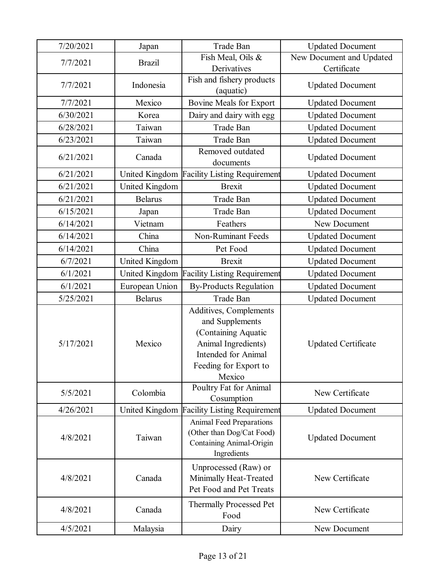| 7/20/2021 | Japan          | Trade Ban                                                                                                                                                | <b>Updated Document</b>    |
|-----------|----------------|----------------------------------------------------------------------------------------------------------------------------------------------------------|----------------------------|
| 7/7/2021  | <b>Brazil</b>  | Fish Meal, Oils &                                                                                                                                        | New Document and Updated   |
|           |                | Derivatives                                                                                                                                              | Certificate                |
| 7/7/2021  | Indonesia      | Fish and fishery products                                                                                                                                | <b>Updated Document</b>    |
|           |                | (aquatic)                                                                                                                                                |                            |
| 7/7/2021  | Mexico         | Bovine Meals for Export                                                                                                                                  | <b>Updated Document</b>    |
| 6/30/2021 | Korea          | Dairy and dairy with egg                                                                                                                                 | <b>Updated Document</b>    |
| 6/28/2021 | Taiwan         | Trade Ban                                                                                                                                                | <b>Updated Document</b>    |
| 6/23/2021 | Taiwan         | Trade Ban                                                                                                                                                | <b>Updated Document</b>    |
| 6/21/2021 | Canada         | Removed outdated<br>documents                                                                                                                            | <b>Updated Document</b>    |
| 6/21/2021 | United Kingdom | <b>Facility Listing Requirement</b>                                                                                                                      | <b>Updated Document</b>    |
| 6/21/2021 | United Kingdom | <b>Brexit</b>                                                                                                                                            | <b>Updated Document</b>    |
| 6/21/2021 | <b>Belarus</b> | Trade Ban                                                                                                                                                | <b>Updated Document</b>    |
| 6/15/2021 | Japan          | Trade Ban                                                                                                                                                | <b>Updated Document</b>    |
| 6/14/2021 | Vietnam        | Feathers                                                                                                                                                 | New Document               |
| 6/14/2021 | China          | <b>Non-Ruminant Feeds</b>                                                                                                                                | <b>Updated Document</b>    |
| 6/14/2021 | China          | Pet Food                                                                                                                                                 | <b>Updated Document</b>    |
| 6/7/2021  | United Kingdom | <b>Brexit</b>                                                                                                                                            | <b>Updated Document</b>    |
| 6/1/2021  | United Kingdom | <b>Facility Listing Requirement</b>                                                                                                                      | <b>Updated Document</b>    |
| 6/1/2021  | European Union | <b>By-Products Regulation</b>                                                                                                                            | <b>Updated Document</b>    |
| 5/25/2021 | <b>Belarus</b> | Trade Ban                                                                                                                                                | <b>Updated Document</b>    |
| 5/17/2021 | Mexico         | Additives, Complements<br>and Supplements<br>(Containing Aquatic<br>Animal Ingredients)<br><b>Intended for Animal</b><br>Feeding for Export to<br>Mexico | <b>Updated Certificate</b> |
| 5/5/2021  | Colombia       | Poultry Fat for Animal<br>Cosumption                                                                                                                     | New Certificate            |
| 4/26/2021 | United Kingdom | <b>Facility Listing Requirement</b>                                                                                                                      | <b>Updated Document</b>    |
| 4/8/2021  | Taiwan         | Animal Feed Preparations<br>(Other than Dog/Cat Food)<br>Containing Animal-Origin<br>Ingredients                                                         | <b>Updated Document</b>    |
| 4/8/2021  | Canada         | Unprocessed (Raw) or<br>Minimally Heat-Treated<br>Pet Food and Pet Treats                                                                                | New Certificate            |
| 4/8/2021  | Canada         | <b>Thermally Processed Pet</b><br>Food                                                                                                                   | New Certificate            |
| 4/5/2021  | Malaysia       | Dairy                                                                                                                                                    | New Document               |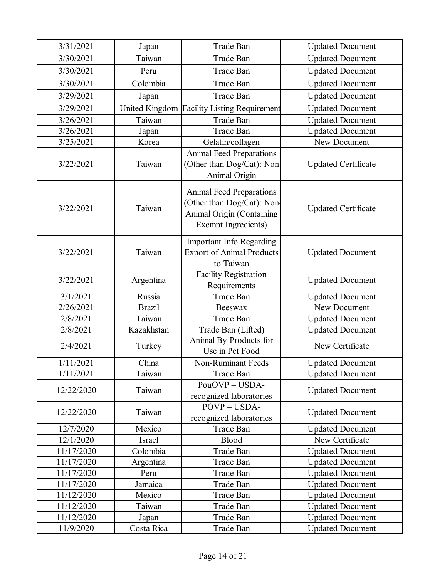| 3/31/2021  | Japan          | Trade Ban                                                                                                               | <b>Updated Document</b>    |
|------------|----------------|-------------------------------------------------------------------------------------------------------------------------|----------------------------|
| 3/30/2021  | Taiwan         | Trade Ban                                                                                                               | <b>Updated Document</b>    |
| 3/30/2021  | Peru           | Trade Ban                                                                                                               | <b>Updated Document</b>    |
| 3/30/2021  | Colombia       | <b>Trade Ban</b>                                                                                                        | <b>Updated Document</b>    |
| 3/29/2021  | Japan          | Trade Ban                                                                                                               | <b>Updated Document</b>    |
| 3/29/2021  | United Kingdom | <b>Facility Listing Requirement</b>                                                                                     | <b>Updated Document</b>    |
| 3/26/2021  | Taiwan         | Trade Ban                                                                                                               | <b>Updated Document</b>    |
| 3/26/2021  | Japan          | <b>Trade Ban</b>                                                                                                        | <b>Updated Document</b>    |
| 3/25/2021  | Korea          | Gelatin/collagen                                                                                                        | New Document               |
| 3/22/2021  | Taiwan         | <b>Animal Feed Preparations</b><br>(Other than Dog/Cat): Non-<br>Animal Origin                                          | <b>Updated Certificate</b> |
| 3/22/2021  | Taiwan         | <b>Animal Feed Preparations</b><br>Other than Dog/Cat): Non-<br>Animal Origin (Containing<br><b>Exempt Ingredients)</b> | <b>Updated Certificate</b> |
| 3/22/2021  | Taiwan         | Important Info Regarding<br><b>Export of Animal Products</b><br>to Taiwan                                               | <b>Updated Document</b>    |
| 3/22/2021  | Argentina      | <b>Facility Registration</b><br>Requirements                                                                            | <b>Updated Document</b>    |
| 3/1/2021   | Russia         | Trade Ban                                                                                                               | <b>Updated Document</b>    |
| 2/26/2021  | <b>Brazil</b>  | <b>Beeswax</b>                                                                                                          | New Document               |
| 2/8/2021   | Taiwan         | Trade Ban                                                                                                               | <b>Updated Document</b>    |
| 2/8/2021   | Kazakhstan     | Trade Ban (Lifted)                                                                                                      | <b>Updated Document</b>    |
| 2/4/2021   | Turkey         | Animal By-Products for<br>Use in Pet Food                                                                               | New Certificate            |
| 1/11/2021  | China          | Non-Ruminant Feeds                                                                                                      | <b>Updated Document</b>    |
| 1/11/2021  | Taiwan         | Trade Ban                                                                                                               | <b>Updated Document</b>    |
| 12/22/2020 | Taiwan         | PouOVP-USDA-<br>recognized laboratories                                                                                 | <b>Updated Document</b>    |
| 12/22/2020 | Taiwan         | POVP - USDA-<br>recognized laboratories                                                                                 | <b>Updated Document</b>    |
| 12/7/2020  | Mexico         | Trade Ban                                                                                                               | <b>Updated Document</b>    |
| 12/1/2020  | <b>Israel</b>  | Blood                                                                                                                   | New Certificate            |
| 11/17/2020 | Colombia       | Trade Ban                                                                                                               | <b>Updated Document</b>    |
| 11/17/2020 | Argentina      | Trade Ban                                                                                                               | <b>Updated Document</b>    |
| 11/17/2020 | Peru           | Trade Ban                                                                                                               | <b>Updated Document</b>    |
| 11/17/2020 | Jamaica        | Trade Ban                                                                                                               | <b>Updated Document</b>    |
| 11/12/2020 | Mexico         | Trade Ban                                                                                                               | <b>Updated Document</b>    |
| 11/12/2020 | Taiwan         | Trade Ban                                                                                                               | <b>Updated Document</b>    |
| 11/12/2020 | Japan          | Trade Ban                                                                                                               | <b>Updated Document</b>    |
|            |                |                                                                                                                         | <b>Updated Document</b>    |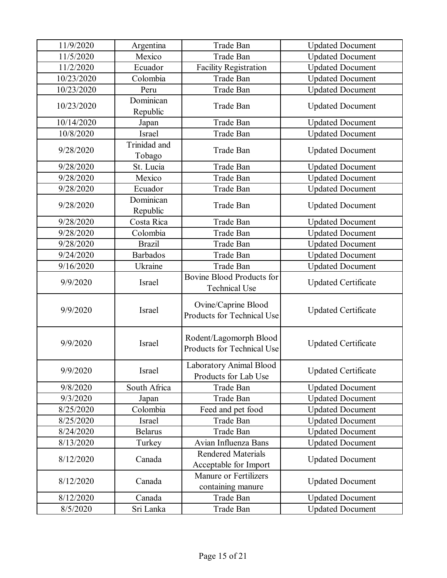| 11/9/2020  | Argentina              | Trade Ban                                                | <b>Updated Document</b>    |
|------------|------------------------|----------------------------------------------------------|----------------------------|
| 11/5/2020  | Mexico                 | Trade Ban                                                | <b>Updated Document</b>    |
| 11/2/2020  | Ecuador                | <b>Facility Registration</b>                             | <b>Updated Document</b>    |
| 10/23/2020 | Colombia               | Trade Ban                                                | <b>Updated Document</b>    |
| 10/23/2020 | Peru                   | Trade Ban                                                | <b>Updated Document</b>    |
| 10/23/2020 | Dominican<br>Republic  | Trade Ban                                                | <b>Updated Document</b>    |
| 10/14/2020 | Japan                  | Trade Ban                                                | <b>Updated Document</b>    |
| 10/8/2020  | Israel                 | Trade Ban                                                | <b>Updated Document</b>    |
| 9/28/2020  | Trinidad and<br>Tobago | Trade Ban                                                | <b>Updated Document</b>    |
| 9/28/2020  | St. Lucia              | Trade Ban                                                | <b>Updated Document</b>    |
| 9/28/2020  | Mexico                 | Trade Ban                                                | <b>Updated Document</b>    |
| 9/28/2020  | Ecuador                | Trade Ban                                                | <b>Updated Document</b>    |
| 9/28/2020  | Dominican<br>Republic  | <b>Trade Ban</b>                                         | <b>Updated Document</b>    |
| 9/28/2020  | Costa Rica             | Trade Ban                                                | <b>Updated Document</b>    |
| 9/28/2020  | Colombia               | Trade Ban                                                | <b>Updated Document</b>    |
| 9/28/2020  | <b>Brazil</b>          | Trade Ban                                                | <b>Updated Document</b>    |
| 9/24/2020  | <b>Barbados</b>        | Trade Ban                                                | <b>Updated Document</b>    |
| 9/16/2020  | Ukraine                | Trade Ban                                                | <b>Updated Document</b>    |
| 9/9/2020   | Israel                 | <b>Bovine Blood Products for</b><br><b>Technical Use</b> | <b>Updated Certificate</b> |
| 9/9/2020   | Israel                 | Ovine/Caprine Blood<br>Products for Technical Use        | <b>Updated Certificate</b> |
| 9/9/2020   | Israel                 | Rodent/Lagomorph Blood<br>Products for Technical Use     | <b>Updated Certificate</b> |
| 9/9/2020   | Israel                 | Laboratory Animal Blood<br>Products for Lab Use          | <b>Updated Certificate</b> |
| 9/8/2020   | South Africa           | Trade Ban                                                | <b>Updated Document</b>    |
| 9/3/2020   | Japan                  | Trade Ban                                                | <b>Updated Document</b>    |
| 8/25/2020  | Colombia               | Feed and pet food                                        | <b>Updated Document</b>    |
| 8/25/2020  | Israel                 | Trade Ban                                                | <b>Updated Document</b>    |
| 8/24/2020  | <b>Belarus</b>         | Trade Ban                                                | <b>Updated Document</b>    |
| 8/13/2020  | Turkey                 | Avian Influenza Bans                                     | <b>Updated Document</b>    |
| 8/12/2020  | Canada                 | <b>Rendered Materials</b><br>Acceptable for Import       | <b>Updated Document</b>    |
| 8/12/2020  | Canada                 | Manure or Fertilizers<br>containing manure               | <b>Updated Document</b>    |
| 8/12/2020  | Canada                 | Trade Ban                                                | <b>Updated Document</b>    |
| 8/5/2020   | Sri Lanka              | Trade Ban                                                | <b>Updated Document</b>    |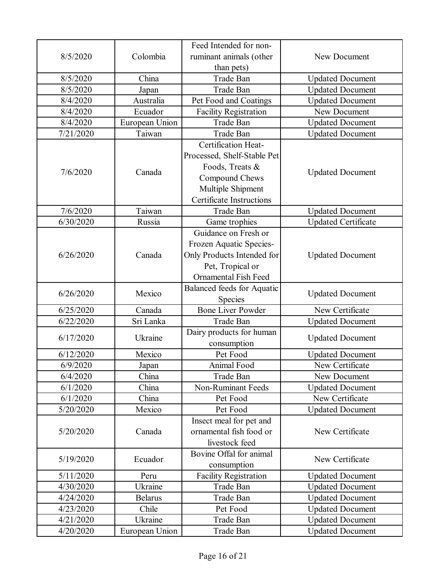|           |                | Feed Intended for non-          |                            |
|-----------|----------------|---------------------------------|----------------------------|
| 8/5/2020  | Colombia       | ruminant animals (other         | New Document               |
|           |                | than pets)                      |                            |
| 8/5/2020  | China          | Trade Ban                       | <b>Updated Document</b>    |
| 8/5/2020  | Japan          | Trade Ban                       | <b>Updated Document</b>    |
| 8/4/2020  | Australia      | Pet Food and Coatings           | <b>Updated Document</b>    |
| 8/4/2020  | Ecuador        | <b>Facility Registration</b>    | New Document               |
| 8/4/2020  | European Union | <b>Trade Ban</b>                | <b>Updated Document</b>    |
| 7/21/2020 | Taiwan         | Trade Ban                       | <b>Updated Document</b>    |
|           |                | Certification Heat-             |                            |
|           |                | Processed, Shelf-Stable Pet     |                            |
|           |                | Foods, Treats &                 |                            |
| 7/6/2020  | Canada         | Compound Chews                  | <b>Updated Document</b>    |
|           |                | Multiple Shipment               |                            |
|           |                | <b>Certificate Instructions</b> |                            |
| 7/6/2020  | Taiwan         | Trade Ban                       | <b>Updated Document</b>    |
| 6/30/2020 | Russia         | Game trophies                   | <b>Updated Certificate</b> |
|           |                | Guidance on Fresh or            |                            |
|           |                | Frozen Aquatic Species-         |                            |
| 6/26/2020 | Canada         | Only Products Intended for      | <b>Updated Document</b>    |
|           |                | Pet, Tropical or                |                            |
|           |                | <b>Ornamental Fish Feed</b>     |                            |
|           |                | Balanced feeds for Aquatic      |                            |
| 6/26/2020 | Mexico         | <b>Species</b>                  | <b>Updated Document</b>    |
| 6/25/2020 | Canada         | <b>Bone Liver Powder</b>        | New Certificate            |
| 6/22/2020 | Sri Lanka      | Trade Ban                       | <b>Updated Document</b>    |
|           |                | Dairy products for human        |                            |
| 6/17/2020 | Ukraine        | consumption                     | <b>Updated Document</b>    |
| 6/12/2020 | Mexico         | Pet Food                        | <b>Updated Document</b>    |
| 6/9/2020  | Japan          | Animal Food                     | New Certificate            |
| 6/4/2020  | China          | Trade Ban                       | New Document               |
| 6/1/2020  | China          | <b>Non-Ruminant Feeds</b>       | <b>Updated Document</b>    |
| 6/1/2020  | China          | Pet Food                        | New Certificate            |
| 5/20/2020 | Mexico         | Pet Food                        | <b>Updated Document</b>    |
|           |                | Insect meal for pet and         |                            |
| 5/20/2020 | Canada         | ornamental fish food or         | New Certificate            |
|           |                | livestock feed                  |                            |
|           |                | Bovine Offal for animal         |                            |
| 5/19/2020 | Ecuador        | consumption                     | New Certificate            |
| 5/11/2020 | Peru           | <b>Facility Registration</b>    | <b>Updated Document</b>    |
| 4/30/2020 | Ukraine        | Trade Ban                       | <b>Updated Document</b>    |
| 4/24/2020 | <b>Belarus</b> | Trade Ban                       | <b>Updated Document</b>    |
| 4/23/2020 | Chile          | Pet Food                        | <b>Updated Document</b>    |
| 4/21/2020 | Ukraine        | Trade Ban                       | <b>Updated Document</b>    |
| 4/20/2020 | European Union | Trade Ban                       | <b>Updated Document</b>    |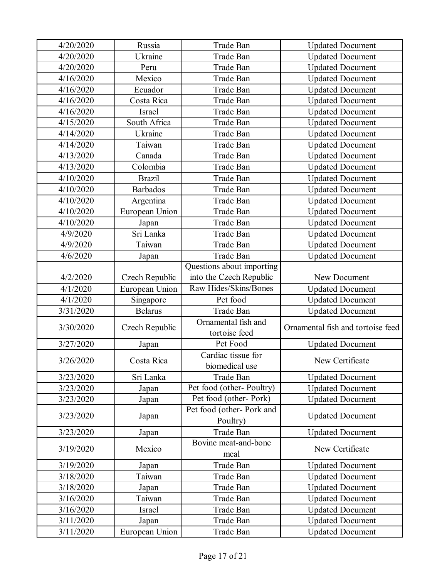| 4/20/2020 | Russia                | Trade Ban                            | <b>Updated Document</b>           |
|-----------|-----------------------|--------------------------------------|-----------------------------------|
| 4/20/2020 | Ukraine               | Trade Ban                            | <b>Updated Document</b>           |
| 4/20/2020 | Peru                  | <b>Trade Ban</b>                     | <b>Updated Document</b>           |
| 4/16/2020 | Mexico                | Trade Ban                            | <b>Updated Document</b>           |
| 4/16/2020 | Ecuador               | Trade Ban                            | <b>Updated Document</b>           |
| 4/16/2020 | Costa Rica            | Trade Ban                            | <b>Updated Document</b>           |
| 4/16/2020 | Israel                | Trade Ban                            | <b>Updated Document</b>           |
| 4/15/2020 | South Africa          | Trade Ban                            | <b>Updated Document</b>           |
| 4/14/2020 | Ukraine               | Trade Ban                            | <b>Updated Document</b>           |
| 4/14/2020 | Taiwan                | Trade Ban                            | <b>Updated Document</b>           |
| 4/13/2020 | Canada                | Trade Ban                            | <b>Updated Document</b>           |
| 4/13/2020 | Colombia              | Trade Ban                            | <b>Updated Document</b>           |
| 4/10/2020 | <b>Brazil</b>         | Trade Ban                            | <b>Updated Document</b>           |
| 4/10/2020 | <b>Barbados</b>       | Trade Ban                            | <b>Updated Document</b>           |
| 4/10/2020 | Argentina             | Trade Ban                            | <b>Updated Document</b>           |
| 4/10/2020 | European Union        | Trade Ban                            | <b>Updated Document</b>           |
| 4/10/2020 | Japan                 | Trade Ban                            | <b>Updated Document</b>           |
| 4/9/2020  | Sri Lanka             | Trade Ban                            | <b>Updated Document</b>           |
| 4/9/2020  | Taiwan                | Trade Ban                            | <b>Updated Document</b>           |
| 4/6/2020  | Japan                 | Trade Ban                            | <b>Updated Document</b>           |
|           |                       | Questions about importing            |                                   |
| 4/2/2020  | <b>Czech Republic</b> | into the Czech Republic              | New Document                      |
| 4/1/2020  | European Union        | Raw Hides/Skins/Bones                | <b>Updated Document</b>           |
| 4/1/2020  | Singapore             | Pet food                             | <b>Updated Document</b>           |
| 3/31/2020 | <b>Belarus</b>        | Trade Ban                            | <b>Updated Document</b>           |
| 3/30/2020 | Czech Republic        | Ornamental fish and<br>tortoise feed | Ornamental fish and tortoise feed |
| 3/27/2020 | Japan                 | Pet Food                             | <b>Updated Document</b>           |
| 3/26/2020 | Costa Rica            | Cardiac tissue for<br>biomedical use | New Certificate                   |
| 3/23/2020 | Sri Lanka             | Trade Ban                            | <b>Updated Document</b>           |
| 3/23/2020 | Japan                 | Pet food (other-Poultry)             | <b>Updated Document</b>           |
| 3/23/2020 | Japan                 | Pet food (other-Pork)                | <b>Updated Document</b>           |
| 3/23/2020 | Japan                 | Pet food (other-Pork and<br>Poultry) | <b>Updated Document</b>           |
| 3/23/2020 | Japan                 | Trade Ban                            | <b>Updated Document</b>           |
| 3/19/2020 | Mexico                | Bovine meat-and-bone<br>meal         | New Certificate                   |
| 3/19/2020 | Japan                 | Trade Ban                            | <b>Updated Document</b>           |
| 3/18/2020 | Taiwan                | Trade Ban                            | <b>Updated Document</b>           |
| 3/18/2020 | Japan                 | Trade Ban                            | <b>Updated Document</b>           |
| 3/16/2020 | Taiwan                | Trade Ban                            | <b>Updated Document</b>           |
| 3/16/2020 | Israel                | Trade Ban                            | <b>Updated Document</b>           |
| 3/11/2020 | Japan                 | Trade Ban                            | <b>Updated Document</b>           |
| 3/11/2020 | European Union        | Trade Ban                            | <b>Updated Document</b>           |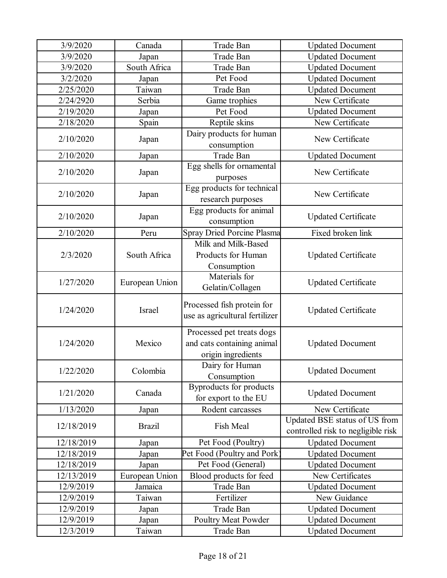| 3/9/2020   | Canada         | Trade Ban                         | <b>Updated Document</b>            |
|------------|----------------|-----------------------------------|------------------------------------|
| 3/9/2020   | Japan          | Trade Ban                         | <b>Updated Document</b>            |
| 3/9/2020   | South Africa   | Trade Ban                         | <b>Updated Document</b>            |
| 3/2/2020   | Japan          | Pet Food                          | <b>Updated Document</b>            |
| 2/25/2020  | Taiwan         | Trade Ban                         | <b>Updated Document</b>            |
| 2/24/2920  | Serbia         | Game trophies                     | New Certificate                    |
| 2/19/2020  | Japan          | Pet Food                          | <b>Updated Document</b>            |
| 2/18/2020  | Spain          | Reptile skins                     | New Certificate                    |
|            |                | Dairy products for human          |                                    |
| 2/10/2020  | Japan          | consumption                       | New Certificate                    |
| 2/10/2020  | Japan          | Trade Ban                         | <b>Updated Document</b>            |
|            |                | Egg shells for ornamental         |                                    |
| 2/10/2020  | Japan          | purposes                          | New Certificate                    |
|            |                | Egg products for technical        |                                    |
| 2/10/2020  | Japan          | research purposes                 | New Certificate                    |
|            |                | Egg products for animal           |                                    |
| 2/10/2020  | Japan          | consumption                       | <b>Updated Certificate</b>         |
| 2/10/2020  | Peru           | <b>Spray Dried Porcine Plasma</b> | Fixed broken link                  |
|            |                | Milk and Milk-Based               |                                    |
| 2/3/2020   | South Africa   | Products for Human                | <b>Updated Certificate</b>         |
|            |                | Consumption                       |                                    |
|            | European Union | Materials for                     |                                    |
| 1/27/2020  |                | Gelatin/Collagen                  | <b>Updated Certificate</b>         |
|            |                |                                   |                                    |
| 1/24/2020  | Israel         | Processed fish protein for        | <b>Updated Certificate</b>         |
|            |                | use as agricultural fertilizer    |                                    |
|            |                | Processed pet treats dogs         |                                    |
| 1/24/2020  | Mexico         | and cats containing animal        | <b>Updated Document</b>            |
|            |                | origin ingredients                |                                    |
| 1/22/2020  | Colombia       | Dairy for Human                   |                                    |
|            |                | Consumption                       | <b>Updated Document</b>            |
| 1/21/2020  | Canada         | <b>Byproducts</b> for products    |                                    |
|            |                | for export to the EU              | <b>Updated Document</b>            |
| 1/13/2020  | Japan          | Rodent carcasses                  | New Certificate                    |
|            | <b>Brazil</b>  | Fish Meal                         | Updated BSE status of US from      |
| 12/18/2019 |                |                                   | controlled risk to negligible risk |
| 12/18/2019 | Japan          | Pet Food (Poultry)                | <b>Updated Document</b>            |
| 12/18/2019 | Japan          | Pet Food (Poultry and Pork)       | <b>Updated Document</b>            |
| 12/18/2019 | Japan          | Pet Food (General)                | <b>Updated Document</b>            |
| 12/13/2019 | European Union | Blood products for feed           | New Certificates                   |
| 12/9/2019  | Jamaica        | Trade Ban                         | <b>Updated Document</b>            |
| 12/9/2019  | Taiwan         | Fertilizer                        | New Guidance                       |
| 12/9/2019  | Japan          | Trade Ban                         | <b>Updated Document</b>            |
| 12/9/2019  | Japan          | Poultry Meat Powder               | <b>Updated Document</b>            |
| 12/3/2019  | Taiwan         | Trade Ban                         | <b>Updated Document</b>            |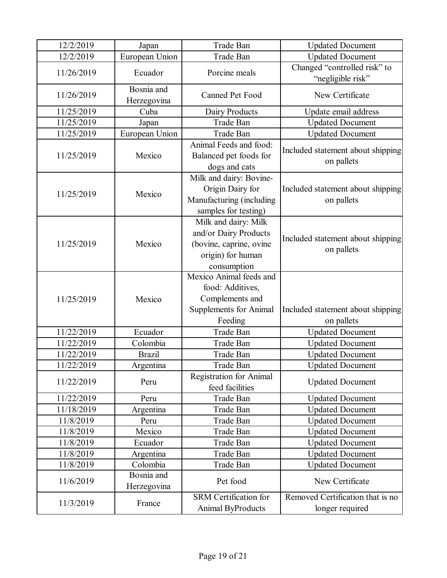| 12/2/2019  | Japan                     | Trade Ban                                                                                                    | <b>Updated Document</b>                             |
|------------|---------------------------|--------------------------------------------------------------------------------------------------------------|-----------------------------------------------------|
| 12/2/2019  | European Union            | Trade Ban                                                                                                    | <b>Updated Document</b>                             |
| 11/26/2019 | Ecuador                   | Porcine meals                                                                                                | Changed "controlled risk" to<br>"negligible risk"   |
| 11/26/2019 | Bosnia and<br>Herzegovina | Canned Pet Food                                                                                              | New Certificate                                     |
| 11/25/2019 | Cuba                      | Dairy Products                                                                                               | Update email address                                |
| 11/25/2019 | Japan                     | Trade Ban                                                                                                    | <b>Updated Document</b>                             |
| 11/25/2019 | European Union            | Trade Ban                                                                                                    | <b>Updated Document</b>                             |
| 11/25/2019 | Mexico                    | Animal Feeds and food:<br>Balanced pet foods for<br>dogs and cats                                            | Included statement about shipping<br>on pallets     |
| 11/25/2019 | Mexico                    | Milk and dairy: Bovine-<br>Origin Dairy for<br>Manufacturing (including<br>samples for testing)              | Included statement about shipping<br>on pallets     |
| 11/25/2019 | Mexico                    | Milk and dairy: Milk<br>and/or Dairy Products<br>(bovine, caprine, ovine<br>origin) for human<br>consumption | Included statement about shipping<br>on pallets     |
| 11/25/2019 | Mexico                    | Mexico Animal feeds and<br>food: Additives,<br>Complements and<br><b>Supplements for Animal</b><br>Feeding   | Included statement about shipping<br>on pallets     |
| 11/22/2019 | Ecuador                   | Trade Ban                                                                                                    | <b>Updated Document</b>                             |
| 11/22/2019 | Colombia                  | Trade Ban                                                                                                    | <b>Updated Document</b>                             |
| 11/22/2019 | <b>Brazil</b>             | Trade Ban                                                                                                    | <b>Updated Document</b>                             |
| 11/22/2019 | Argentina                 | Trade Ban                                                                                                    | <b>Updated Document</b>                             |
| 11/22/2019 | Peru                      | <b>Registration for Animal</b><br>feed facilities                                                            | <b>Updated Document</b>                             |
| 11/22/2019 | Peru                      | Trade Ban                                                                                                    | <b>Updated Document</b>                             |
| 11/18/2019 | Argentina                 | Trade Ban                                                                                                    | <b>Updated Document</b>                             |
| 11/8/2019  | Peru                      | Trade Ban                                                                                                    | <b>Updated Document</b>                             |
| 11/8/2019  | Mexico                    | Trade Ban                                                                                                    | <b>Updated Document</b>                             |
| 11/8/2019  | Ecuador                   | Trade Ban                                                                                                    | <b>Updated Document</b>                             |
| 11/8/2019  | Argentina                 | Trade Ban                                                                                                    | <b>Updated Document</b>                             |
| 11/8/2019  | Colombia                  | Trade Ban                                                                                                    | <b>Updated Document</b>                             |
| 11/6/2019  | Bosnia and<br>Herzegovina | Pet food                                                                                                     | New Certificate                                     |
| 11/3/2019  | France                    | SRM Certification for<br>Animal ByProducts                                                                   | Removed Certification that is no<br>longer required |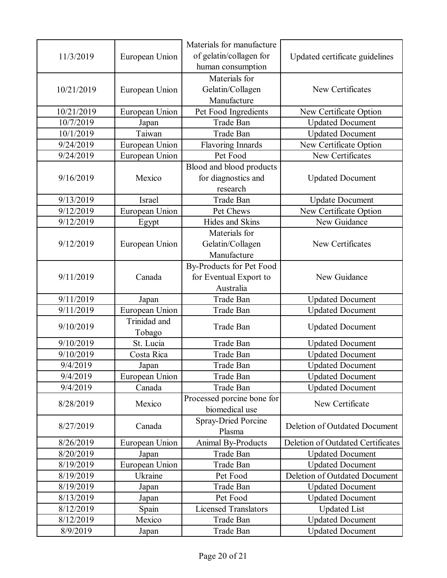| 11/3/2019  | European Union         | Materials for manufacture<br>of gelatin/collagen for<br>human consumption | Updated certificate guidelines    |
|------------|------------------------|---------------------------------------------------------------------------|-----------------------------------|
| 10/21/2019 | European Union         | Materials for<br>Gelatin/Collagen<br>Manufacture                          | New Certificates                  |
| 10/21/2019 | European Union         | Pet Food Ingredients                                                      | New Certificate Option            |
| 10/7/2019  | Japan                  | Trade Ban                                                                 | <b>Updated Document</b>           |
| 10/1/2019  | Taiwan                 | Trade Ban                                                                 | <b>Updated Document</b>           |
| 9/24/2019  | European Union         | <b>Flavoring Innards</b>                                                  | New Certificate Option            |
| 9/24/2019  | European Union         | Pet Food                                                                  | New Certificates                  |
| 9/16/2019  | Mexico                 | Blood and blood products<br>for diagnostics and<br>research               | <b>Updated Document</b>           |
| 9/13/2019  | <b>Israel</b>          | Trade Ban                                                                 | <b>Update Document</b>            |
| 9/12/2019  | European Union         | Pet Chews                                                                 | New Certificate Option            |
| 9/12/2019  | Egypt                  | Hides and Skins                                                           | New Guidance                      |
| 9/12/2019  | European Union         | Materials for<br>Gelatin/Collagen<br>Manufacture                          | New Certificates                  |
| 9/11/2019  | Canada                 | By-Products for Pet Food<br>for Eventual Export to<br>Australia           | New Guidance                      |
| 9/11/2019  | Japan                  | Trade Ban                                                                 | <b>Updated Document</b>           |
| 9/11/2019  | European Union         | Trade Ban                                                                 | <b>Updated Document</b>           |
| 9/10/2019  | Trinidad and<br>Tobago | Trade Ban                                                                 | <b>Updated Document</b>           |
| 9/10/2019  | St. Lucia              | Trade Ban                                                                 | <b>Updated Document</b>           |
| 9/10/2019  | Costa Rica             | Trade Ban                                                                 | <b>Updated Document</b>           |
| 9/4/2019   | Japan                  | Trade Ban                                                                 | <b>Updated Document</b>           |
| 9/4/2019   | European Union         | Trade Ban                                                                 | <b>Updated Document</b>           |
| 9/4/2019   | Canada                 | Trade Ban                                                                 | <b>Updated Document</b>           |
| 8/28/2019  | Mexico                 | Processed porcine bone for<br>biomedical use                              | New Certificate                   |
| 8/27/2019  | Canada                 | <b>Spray-Dried Porcine</b><br>Plasma                                      | Deletion of Outdated Document     |
| 8/26/2019  | European Union         | Animal By-Products                                                        | Deletion of Outdated Certificates |
| 8/20/2019  | Japan                  | Trade Ban                                                                 | <b>Updated Document</b>           |
| 8/19/2019  | European Union         | Trade Ban                                                                 | <b>Updated Document</b>           |
| 8/19/2019  | Ukraine                | Pet Food                                                                  | Deletion of Outdated Document     |
| 8/19/2019  | Japan                  | Trade Ban                                                                 | <b>Updated Document</b>           |
| 8/13/2019  | Japan                  | Pet Food                                                                  | <b>Updated Document</b>           |
| 8/12/2019  | Spain                  | <b>Licensed Translators</b>                                               | <b>Updated List</b>               |
| 8/12/2019  | Mexico                 | Trade Ban                                                                 | <b>Updated Document</b>           |
| 8/9/2019   | Japan                  | Trade Ban                                                                 | <b>Updated Document</b>           |